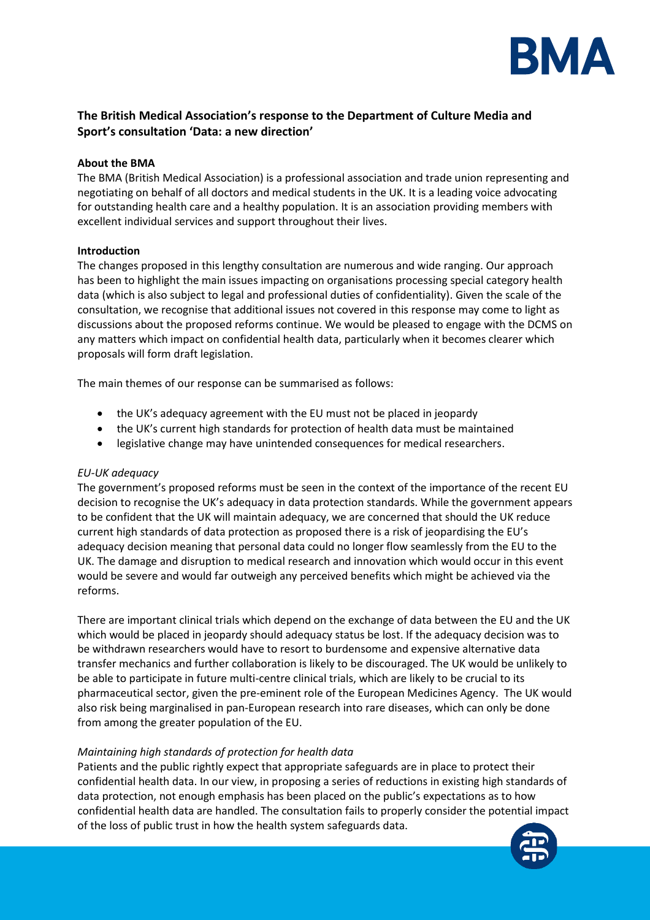

# **The British Medical Association's response to the Department of Culture Media and Sport's consultation 'Data: a new direction'**

# **About the BMA**

The BMA (British Medical Association) is a professional association and trade union representing and negotiating on behalf of all doctors and medical students in the UK. It is a leading voice advocating for outstanding health care and a healthy population. It is an association providing members with excellent individual services and support throughout their lives.

# **Introduction**

The changes proposed in this lengthy consultation are numerous and wide ranging. Our approach has been to highlight the main issues impacting on organisations processing special category health data (which is also subject to legal and professional duties of confidentiality). Given the scale of the consultation, we recognise that additional issues not covered in this response may come to light as discussions about the proposed reforms continue. We would be pleased to engage with the DCMS on any matters which impact on confidential health data, particularly when it becomes clearer which proposals will form draft legislation.

The main themes of our response can be summarised as follows:

- the UK's adequacy agreement with the EU must not be placed in jeopardy
- the UK's current high standards for protection of health data must be maintained
- legislative change may have unintended consequences for medical researchers.

# *EU-UK adequacy*

The government's proposed reforms must be seen in the context of the importance of the recent EU decision to recognise the UK's adequacy in data protection standards. While the government appears to be confident that the UK will maintain adequacy, we are concerned that should the UK reduce current high standards of data protection as proposed there is a risk of jeopardising the EU's adequacy decision meaning that personal data could no longer flow seamlessly from the EU to the UK. The damage and disruption to medical research and innovation which would occur in this event would be severe and would far outweigh any perceived benefits which might be achieved via the reforms.

There are important clinical trials which depend on the exchange of data between the EU and the UK which would be placed in jeopardy should adequacy status be lost. If the adequacy decision was to be withdrawn researchers would have to resort to burdensome and expensive alternative data transfer mechanics and further collaboration is likely to be discouraged. The UK would be unlikely to be able to participate in future multi-centre clinical trials, which are likely to be crucial to its pharmaceutical sector, given the pre-eminent role of the European Medicines Agency. The UK would also risk being marginalised in pan-European research into rare diseases, which can only be done from among the greater population of the EU.

# *Maintaining high standards of protection for health data*

Patients and the public rightly expect that appropriate safeguards are in place to protect their confidential health data. In our view, in proposing a series of reductions in existing high standards of data protection, not enough emphasis has been placed on the public's expectations as to how confidential health data are handled. The consultation fails to properly consider the potential impact of the loss of public trust in how the health system safeguards data.

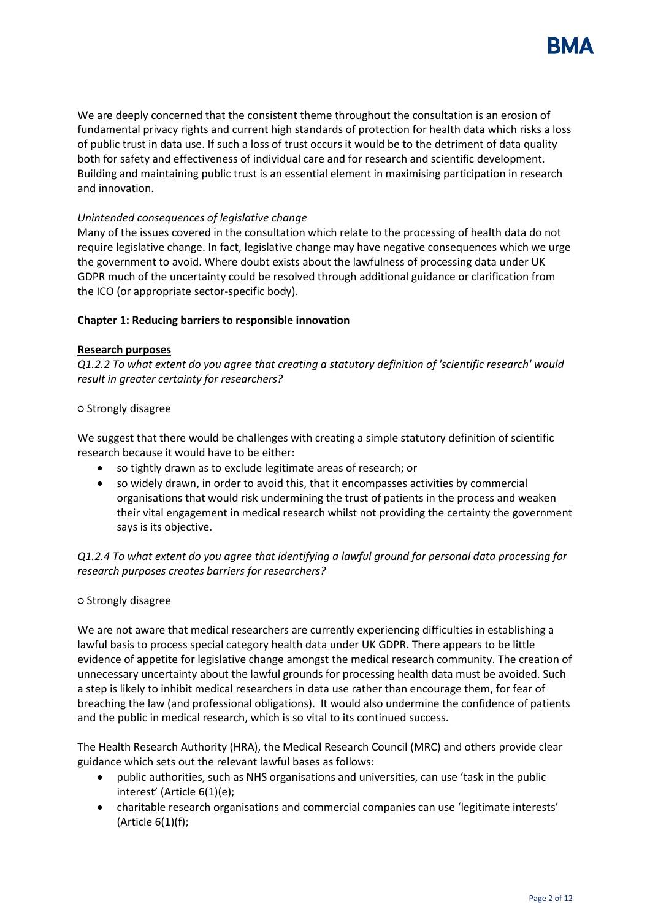

We are deeply concerned that the consistent theme throughout the consultation is an erosion of fundamental privacy rights and current high standards of protection for health data which risks a loss of public trust in data use. If such a loss of trust occurs it would be to the detriment of data quality both for safety and effectiveness of individual care and for research and scientific development. Building and maintaining public trust is an essential element in maximising participation in research and innovation.

# *Unintended consequences of legislative change*

Many of the issues covered in the consultation which relate to the processing of health data do not require legislative change. In fact, legislative change may have negative consequences which we urge the government to avoid. Where doubt exists about the lawfulness of processing data under UK GDPR much of the uncertainty could be resolved through additional guidance or clarification from the ICO (or appropriate sector-specific body).

#### **Chapter 1: Reducing barriers to responsible innovation**

#### **Research purposes**

*Q1.2.2 To what extent do you agree that creating a statutory definition of 'scientific research' would result in greater certainty for researchers?* 

#### **○** Strongly disagree

We suggest that there would be challenges with creating a simple statutory definition of scientific research because it would have to be either:

- so tightly drawn as to exclude legitimate areas of research; or
- so widely drawn, in order to avoid this, that it encompasses activities by commercial organisations that would risk undermining the trust of patients in the process and weaken their vital engagement in medical research whilst not providing the certainty the government says is its objective.

*Q1.2.4 To what extent do you agree that identifying a lawful ground for personal data processing for research purposes creates barriers for researchers?*

#### ○ Strongly disagree

We are not aware that medical researchers are currently experiencing difficulties in establishing a lawful basis to process special category health data under UK GDPR. There appears to be little evidence of appetite for legislative change amongst the medical research community. The creation of unnecessary uncertainty about the lawful grounds for processing health data must be avoided. Such a step is likely to inhibit medical researchers in data use rather than encourage them, for fear of breaching the law (and professional obligations). It would also undermine the confidence of patients and the public in medical research, which is so vital to its continued success.

The Health Research Authority (HRA), the Medical Research Council (MRC) and others provide clear guidance which sets out the relevant lawful bases as follows:

- public authorities, such as NHS organisations and universities, can use 'task in the public interest' (Article 6(1)(e);
- charitable research organisations and commercial companies can use 'legitimate interests' (Article  $6(1)(f)$ ;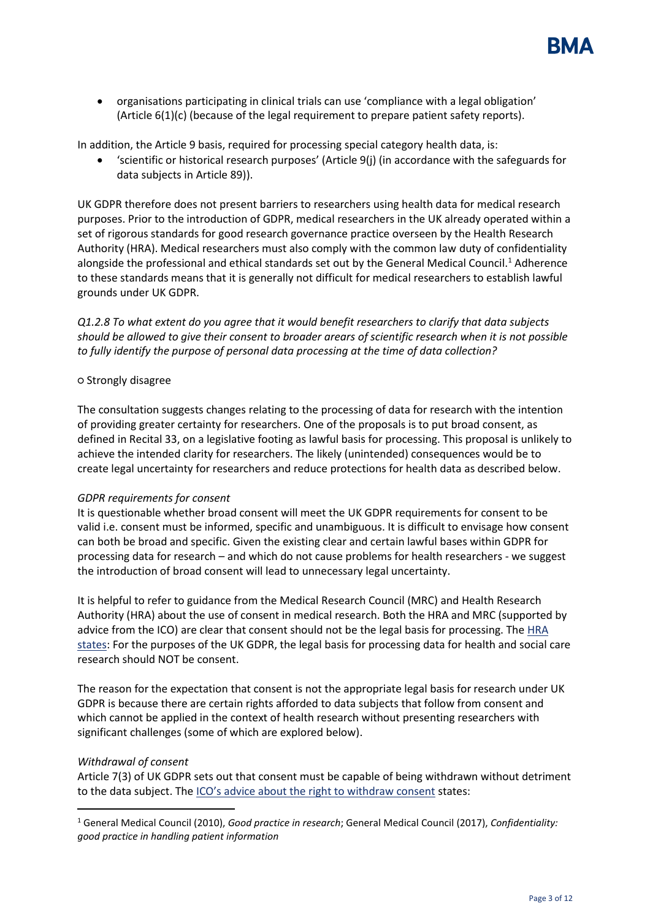

• organisations participating in clinical trials can use 'compliance with a legal obligation' (Article 6(1)(c) (because of the legal requirement to prepare patient safety reports).

In addition, the Article 9 basis, required for processing special category health data, is:

• 'scientific or historical research purposes' (Article 9(j) (in accordance with the safeguards for data subjects in Article 89)).

UK GDPR therefore does not present barriers to researchers using health data for medical research purposes. Prior to the introduction of GDPR, medical researchers in the UK already operated within a set of rigorous standards for good research governance practice overseen by the Health Research Authority (HRA). Medical researchers must also comply with the common law duty of confidentiality alongside the professional and ethical standards set out by the General Medical Council.<sup>1</sup> Adherence to these standards means that it is generally not difficult for medical researchers to establish lawful grounds under UK GDPR.

*Q1.2.8 To what extent do you agree that it would benefit researchers to clarify that data subjects should be allowed to give their consent to broader arears of scientific research when it is not possible to fully identify the purpose of personal data processing at the time of data collection?*

### ○ Strongly disagree

The consultation suggests changes relating to the processing of data for research with the intention of providing greater certainty for researchers. One of the proposals is to put broad consent, as defined in Recital 33, on a legislative footing as lawful basis for processing. This proposal is unlikely to achieve the intended clarity for researchers. The likely (unintended) consequences would be to create legal uncertainty for researchers and reduce protections for health data as described below.

#### *GDPR requirements for consent*

It is questionable whether broad consent will meet the UK GDPR requirements for consent to be valid i.e. consent must be informed, specific and unambiguous. It is difficult to envisage how consent can both be broad and specific. Given the existing clear and certain lawful bases within GDPR for processing data for research – and which do not cause problems for health researchers - we suggest the introduction of broad consent will lead to unnecessary legal uncertainty.

It is helpful to refer to guidance from the Medical Research Council (MRC) and Health Research Authority (HRA) about the use of consent in medical research. Both the HRA and MRC (supported by advice from the ICO) are clear that consent should not be the legal basis for processing. Th[e HRA](https://www.hra.nhs.uk/planning-and-improving-research/policies-standards-legislation/data-protection-and-information-governance/gdpr-guidance/what-law-says/consent-research/)  [states:](https://www.hra.nhs.uk/planning-and-improving-research/policies-standards-legislation/data-protection-and-information-governance/gdpr-guidance/what-law-says/consent-research/) For the purposes of the UK GDPR, the legal basis for processing data for health and social care research should NOT be consent.

The reason for the expectation that consent is not the appropriate legal basis for research under UK GDPR is because there are certain rights afforded to data subjects that follow from consent and which cannot be applied in the context of health research without presenting researchers with significant challenges (some of which are explored below).

#### *Withdrawal of consent*

Article 7(3) of UK GDPR sets out that consent must be capable of being withdrawn without detriment to the data subject. The [ICO's advice about the right to withdraw consent](https://ico.org.uk/for-organisations/guide-to-data-protection/guide-to-the-general-data-protection-regulation-gdpr/consent/what-is-valid-consent/) states:

<sup>1</sup> General Medical Council (2010), *Good practice in research*; General Medical Council (2017), *Confidentiality: good practice in handling patient information*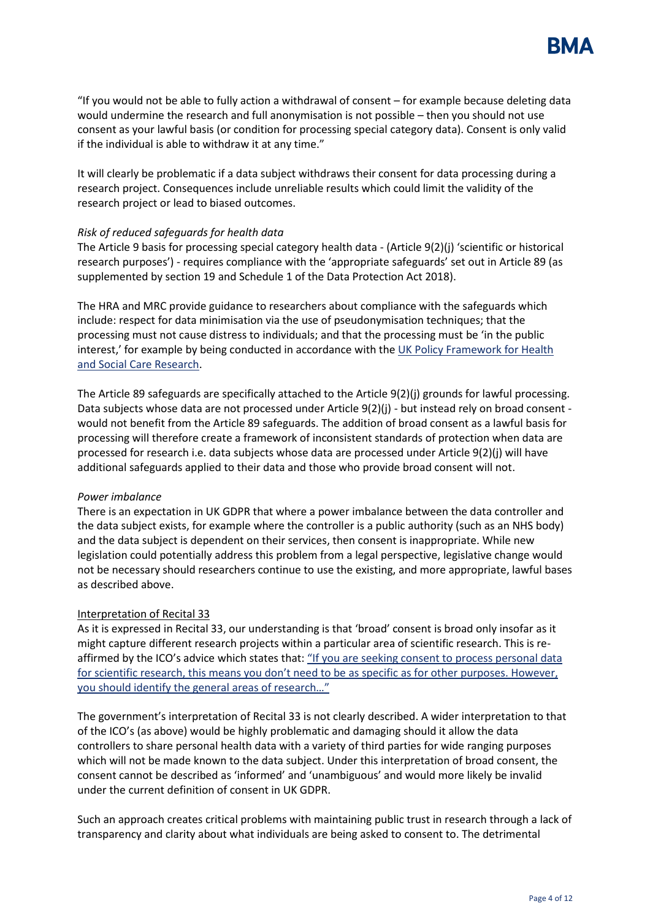

"If you would not be able to fully action a withdrawal of consent – for example because deleting data would undermine the research and full anonymisation is not possible – then you should not use consent as your lawful basis (or condition for processing special category data). Consent is only valid if the individual is able to withdraw it at any time."

It will clearly be problematic if a data subject withdraws their consent for data processing during a research project. Consequences include unreliable results which could limit the validity of the research project or lead to biased outcomes.

### *Risk of reduced safeguards for health data*

The Article 9 basis for processing special category health data - (Article 9(2)(j) 'scientific or historical research purposes') - requires compliance with the 'appropriate safeguards' set out in Article 89 (as supplemented by section 19 and Schedule 1 of the Data Protection Act 2018).

The HRA and MRC provide guidance to researchers about compliance with the safeguards which include: respect for data minimisation via the use of pseudonymisation techniques; that the processing must not cause distress to individuals; and that the processing must be 'in the public interest,' for example by being conducted in accordance with the UK Policy Framework for Health [and Social Care Research.](https://www.hra.nhs.uk/planning-and-improving-research/policies-standards-legislation/uk-policy-framework-health-social-care-research/)

The Article 89 safeguards are specifically attached to the Article 9(2)(j) grounds for lawful processing. Data subjects whose data are not processed under Article 9(2)(j) - but instead rely on broad consent would not benefit from the Article 89 safeguards. The addition of broad consent as a lawful basis for processing will therefore create a framework of inconsistent standards of protection when data are processed for research i.e. data subjects whose data are processed under Article 9(2)(j) will have additional safeguards applied to their data and those who provide broad consent will not.

#### *Power imbalance*

There is an expectation in UK GDPR that where a power imbalance between the data controller and the data subject exists, for example where the controller is a public authority (such as an NHS body) and the data subject is dependent on their services, then consent is inappropriate. While new legislation could potentially address this problem from a legal perspective, legislative change would not be necessary should researchers continue to use the existing, and more appropriate, lawful bases as described above.

# Interpretation of Recital 33

As it is expressed in Recital 33, our understanding is that 'broad' consent is broad only insofar as it might capture different research projects within a particular area of scientific research. This is reaffirmed by the ICO's advice which states that: "If you are seeking consent to process personal data for scientific research, this means you don't need to be as specific as for other purposes. However, [you should identify the general](https://ico.org.uk/for-organisations/guide-to-data-protection/guide-to-the-general-data-protection-regulation-gdpr/consent/what-is-valid-consent/) areas of research…"

The government's interpretation of Recital 33 is not clearly described. A wider interpretation to that of the ICO's (as above) would be highly problematic and damaging should it allow the data controllers to share personal health data with a variety of third parties for wide ranging purposes which will not be made known to the data subject. Under this interpretation of broad consent, the consent cannot be described as 'informed' and 'unambiguous' and would more likely be invalid under the current definition of consent in UK GDPR.

Such an approach creates critical problems with maintaining public trust in research through a lack of transparency and clarity about what individuals are being asked to consent to. The detrimental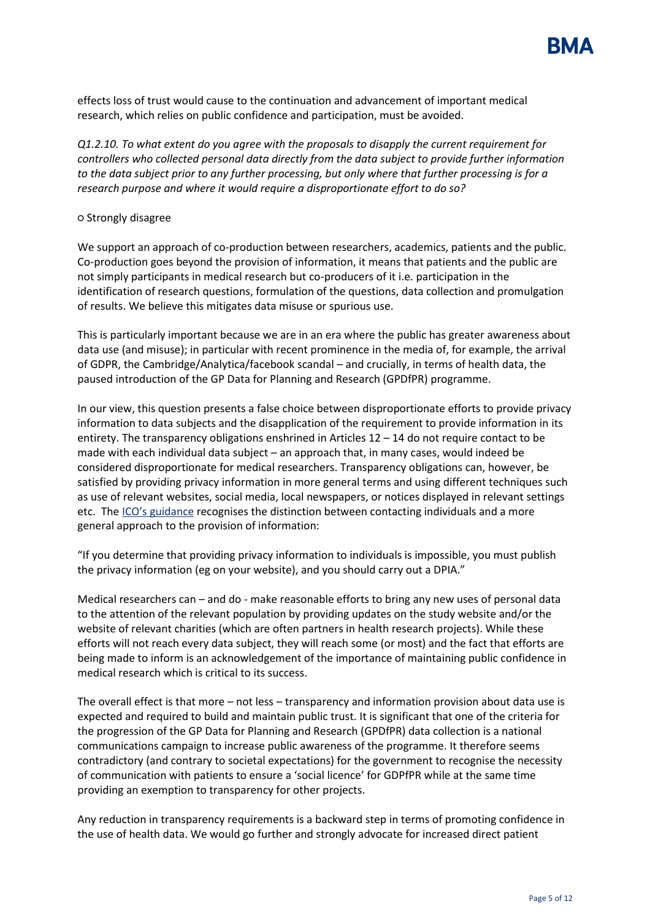

effects loss of trust would cause to the continuation and advancement of important medical research, which relies on public confidence and participation, must be avoided.

*Q1.2.10. To what extent do you agree with the proposals to disapply the current requirement for controllers who collected personal data directly from the data subject to provide further information to the data subject prior to any further processing, but only where that further processing is for a research purpose and where it would require a disproportionate effort to do so?*

### ○ Strongly disagree

We support an approach of co-production between researchers, academics, patients and the public. Co-production goes beyond the provision of information, it means that patients and the public are not simply participants in medical research but co-producers of it i.e. participation in the identification of research questions, formulation of the questions, data collection and promulgation of results. We believe this mitigates data misuse or spurious use.

This is particularly important because we are in an era where the public has greater awareness about data use (and misuse); in particular with recent prominence in the media of, for example, the arrival of GDPR, the Cambridge/Analytica/facebook scandal – and crucially, in terms of health data, the paused introduction of the GP Data for Planning and Research (GPDfPR) programme.

In our view, this question presents a false choice between disproportionate efforts to provide privacy information to data subjects and the disapplication of the requirement to provide information in its entirety. The transparency obligations enshrined in Articles 12 – 14 do not require contact to be made with each individual data subject – an approach that, in many cases, would indeed be considered disproportionate for medical researchers. Transparency obligations can, however, be satisfied by providing privacy information in more general terms and using different techniques such as use of relevant websites, social media, local newspapers, or notices displayed in relevant settings etc. The [ICO's guidance](https://ico.org.uk/for-organisations/guide-to-data-protection/guide-to-the-general-data-protection-regulation-gdpr/the-right-to-be-informed/are-there-any-exceptions/) recognises the distinction between contacting individuals and a more general approach to the provision of information:

"If you determine that providing privacy information to individuals is impossible, you must publish the privacy information (eg on your website), and you should carry out a DPIA."

Medical researchers can – and do - make reasonable efforts to bring any new uses of personal data to the attention of the relevant population by providing updates on the study website and/or the website of relevant charities (which are often partners in health research projects). While these efforts will not reach every data subject, they will reach some (or most) and the fact that efforts are being made to inform is an acknowledgement of the importance of maintaining public confidence in medical research which is critical to its success.

The overall effect is that more – not less – transparency and information provision about data use is expected and required to build and maintain public trust. It is significant that one of the criteria for the progression of the GP Data for Planning and Research (GPDfPR) data collection is a national communications campaign to increase public awareness of the programme. It therefore seems contradictory (and contrary to societal expectations) for the government to recognise the necessity of communication with patients to ensure a 'social licence' for GDPfPR while at the same time providing an exemption to transparency for other projects.

Any reduction in transparency requirements is a backward step in terms of promoting confidence in the use of health data. We would go further and strongly advocate for increased direct patient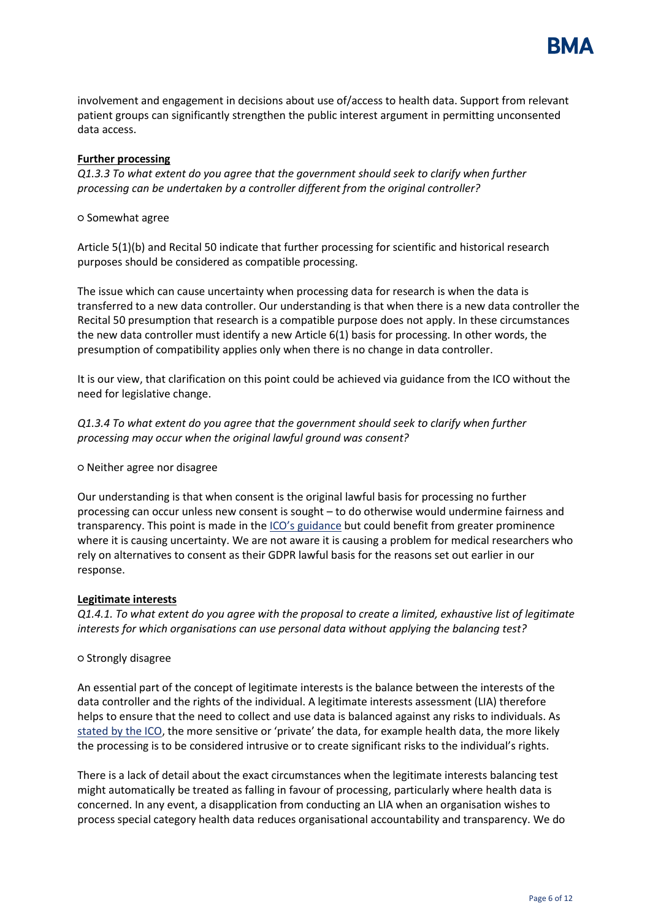

involvement and engagement in decisions about use of/access to health data. Support from relevant patient groups can significantly strengthen the public interest argument in permitting unconsented data access.

# **Further processing**

*Q1.3.3 To what extent do you agree that the government should seek to clarify when further processing can be undertaken by a controller different from the original controller?*

**○** Somewhat agree

Article 5(1)(b) and Recital 50 indicate that further processing for scientific and historical research purposes should be considered as compatible processing.

The issue which can cause uncertainty when processing data for research is when the data is transferred to a new data controller. Our understanding is that when there is a new data controller the Recital 50 presumption that research is a compatible purpose does not apply. In these circumstances the new data controller must identify a new Article 6(1) basis for processing. In other words, the presumption of compatibility applies only when there is no change in data controller.

It is our view, that clarification on this point could be achieved via guidance from the ICO without the need for legislative change.

*Q1.3.4 To what extent do you agree that the government should seek to clarify when further processing may occur when the original lawful ground was consent?*

○ Neither agree nor disagree

Our understanding is that when consent is the original lawful basis for processing no further processing can occur unless new consent is sought – to do otherwise would undermine fairness and transparency. This point is made in the [ICO's guidance](https://ico.org.uk/for-organisations/guide-to-data-protection/guide-to-the-general-data-protection-regulation-gdpr/lawful-basis-for-processing/) but could benefit from greater prominence where it is causing uncertainty. We are not aware it is causing a problem for medical researchers who rely on alternatives to consent as their GDPR lawful basis for the reasons set out earlier in our response.

# **Legitimate interests**

*Q1.4.1. To what extent do you agree with the proposal to create a limited, exhaustive list of legitimate interests for which organisations can use personal data without applying the balancing test?* 

○ Strongly disagree

An essential part of the concept of legitimate interests is the balance between the interests of the data controller and the rights of the individual. A legitimate interests assessment (LIA) therefore helps to ensure that the need to collect and use data is balanced against any risks to individuals. As stated [by the ICO,](https://ico.org.uk/for-organisations/guide-to-data-protection/guide-to-the-general-data-protection-regulation-gdpr/legitimate-interests/how-do-we-apply-legitimate-interests-in-practice/) the more sensitive or 'private' the data, for example health data, the more likely the processing is to be considered intrusive or to create significant risks to the individual's rights.

There is a lack of detail about the exact circumstances when the legitimate interests balancing test might automatically be treated as falling in favour of processing, particularly where health data is concerned. In any event, a disapplication from conducting an LIA when an organisation wishes to process special category health data reduces organisational accountability and transparency. We do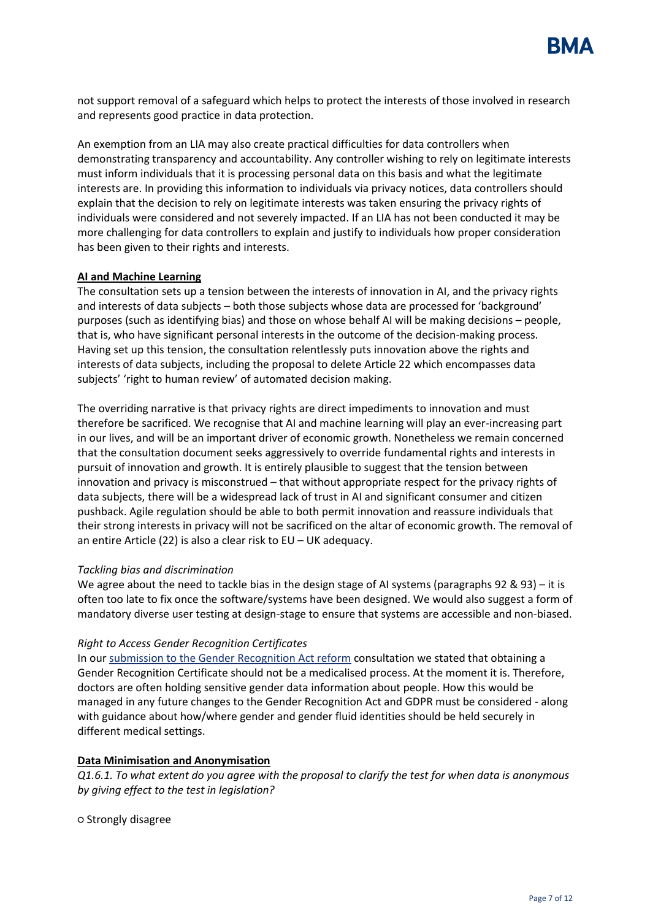

not support removal of a safeguard which helps to protect the interests of those involved in research and represents good practice in data protection.

An exemption from an LIA may also create practical difficulties for data controllers when demonstrating transparency and accountability. Any controller wishing to rely on legitimate interests must inform individuals that it is processing personal data on this basis and what the legitimate interests are. In providing this information to individuals via privacy notices, data controllers should explain that the decision to rely on legitimate interests was taken ensuring the privacy rights of individuals were considered and not severely impacted. If an LIA has not been conducted it may be more challenging for data controllers to explain and justify to individuals how proper consideration has been given to their rights and interests.

### **AI and Machine Learning**

The consultation sets up a tension between the interests of innovation in AI, and the privacy rights and interests of data subjects – both those subjects whose data are processed for 'background' purposes (such as identifying bias) and those on whose behalf AI will be making decisions – people, that is, who have significant personal interests in the outcome of the decision-making process. Having set up this tension, the consultation relentlessly puts innovation above the rights and interests of data subjects, including the proposal to delete Article 22 which encompasses data subjects' 'right to human review' of automated decision making.

The overriding narrative is that privacy rights are direct impediments to innovation and must therefore be sacrificed. We recognise that AI and machine learning will play an ever-increasing part in our lives, and will be an important driver of economic growth. Nonetheless we remain concerned that the consultation document seeks aggressively to override fundamental rights and interests in pursuit of innovation and growth. It is entirely plausible to suggest that the tension between innovation and privacy is misconstrued – that without appropriate respect for the privacy rights of data subjects, there will be a widespread lack of trust in AI and significant consumer and citizen pushback. Agile regulation should be able to both permit innovation and reassure individuals that their strong interests in privacy will not be sacrificed on the altar of economic growth. The removal of an entire Article (22) is also a clear risk to EU – UK adequacy.

#### *Tackling bias and discrimination*

We agree about the need to tackle bias in the design stage of AI systems (paragraphs 92 & 93) – it is often too late to fix once the software/systems have been designed. We would also suggest a form of mandatory diverse user testing at design-stage to ensure that systems are accessible and non-biased.

#### *Right to Access Gender Recognition Certificates*

In our [submission to the Gender Recognition Act reform](https://www.bma.org.uk/media/3584/bma-submission-reform-of-the-gender-recognition-act.pdf) consultation we stated that obtaining a Gender Recognition Certificate should not be a medicalised process. At the moment it is. Therefore, doctors are often holding sensitive gender data information about people. How this would be managed in any future changes to the Gender Recognition Act and GDPR must be considered - along with guidance about how/where gender and gender fluid identities should be held securely in different medical settings.

# **Data Minimisation and Anonymisation**

*Q1.6.1. To what extent do you agree with the proposal to clarify the test for when data is anonymous by giving effect to the test in legislation?* 

○ Strongly disagree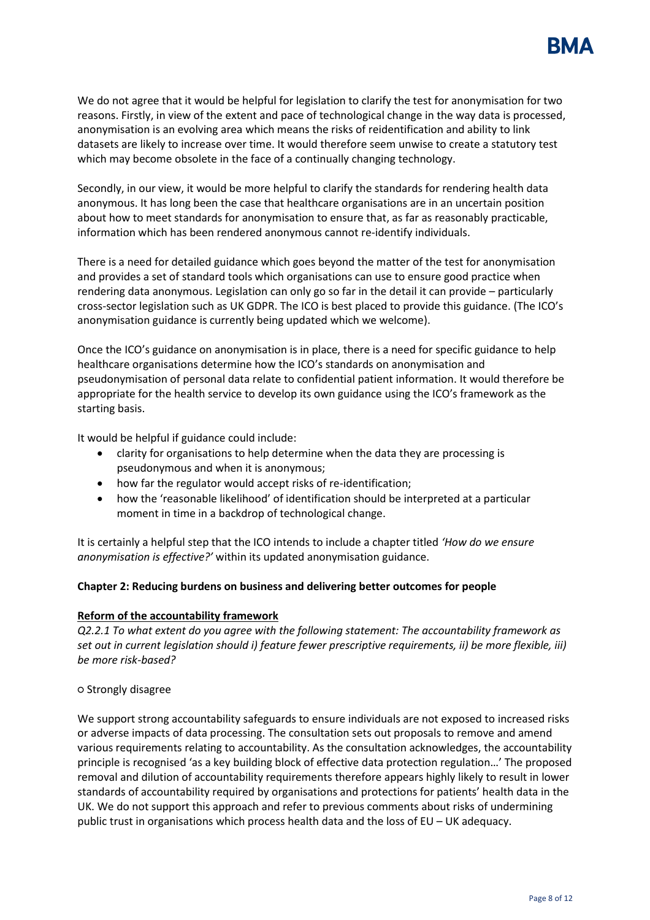

We do not agree that it would be helpful for legislation to clarify the test for anonymisation for two reasons. Firstly, in view of the extent and pace of technological change in the way data is processed, anonymisation is an evolving area which means the risks of reidentification and ability to link datasets are likely to increase over time. It would therefore seem unwise to create a statutory test which may become obsolete in the face of a continually changing technology.

Secondly, in our view, it would be more helpful to clarify the standards for rendering health data anonymous. It has long been the case that healthcare organisations are in an uncertain position about how to meet standards for anonymisation to ensure that, as far as reasonably practicable, information which has been rendered anonymous cannot re-identify individuals.

There is a need for detailed guidance which goes beyond the matter of the test for anonymisation and provides a set of standard tools which organisations can use to ensure good practice when rendering data anonymous. Legislation can only go so far in the detail it can provide – particularly cross-sector legislation such as UK GDPR. The ICO is best placed to provide this guidance. (The ICO's anonymisation guidance is currently being updated which we welcome).

Once the ICO's guidance on anonymisation is in place, there is a need for specific guidance to help healthcare organisations determine how the ICO's standards on anonymisation and pseudonymisation of personal data relate to confidential patient information. It would therefore be appropriate for the health service to develop its own guidance using the ICO's framework as the starting basis.

It would be helpful if guidance could include:

- clarity for organisations to help determine when the data they are processing is pseudonymous and when it is anonymous;
- how far the regulator would accept risks of re-identification;
- how the 'reasonable likelihood' of identification should be interpreted at a particular moment in time in a backdrop of technological change.

It is certainly a helpful step that the ICO intends to include a chapter titled *'How do we ensure anonymisation is effective?'* within its updated anonymisation guidance.

#### **Chapter 2: Reducing burdens on business and delivering better outcomes for people**

### **Reform of the accountability framework**

*Q2.2.1 To what extent do you agree with the following statement: The accountability framework as set out in current legislation should i) feature fewer prescriptive requirements, ii) be more flexible, iii) be more risk-based?*

#### ○ Strongly disagree

We support strong accountability safeguards to ensure individuals are not exposed to increased risks or adverse impacts of data processing. The consultation sets out proposals to remove and amend various requirements relating to accountability. As the consultation acknowledges, the accountability principle is recognised 'as a key building block of effective data protection regulation…' The proposed removal and dilution of accountability requirements therefore appears highly likely to result in lower standards of accountability required by organisations and protections for patients' health data in the UK. We do not support this approach and refer to previous comments about risks of undermining public trust in organisations which process health data and the loss of EU – UK adequacy.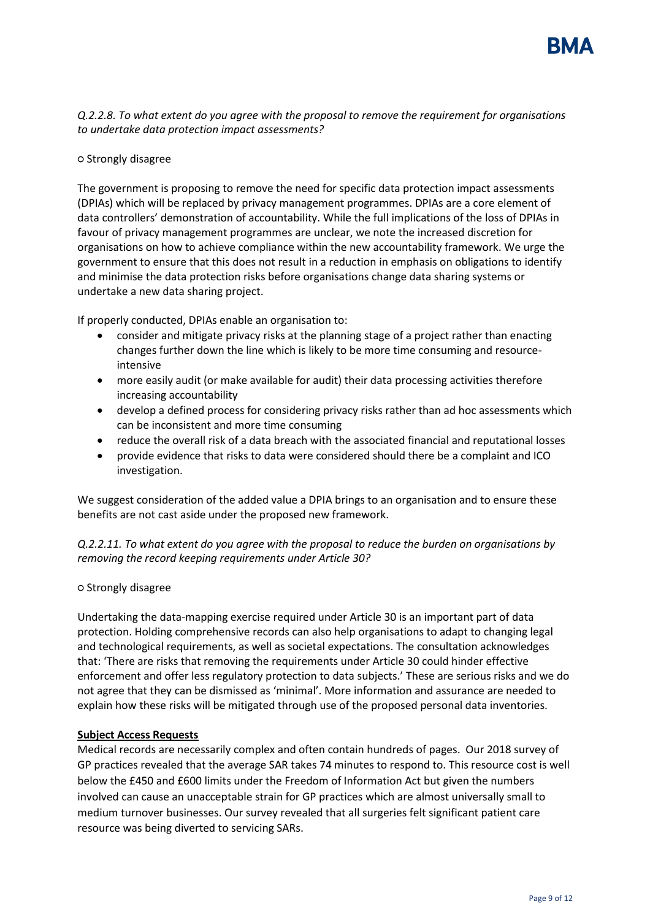

*Q.2.2.8. To what extent do you agree with the proposal to remove the requirement for organisations to undertake data protection impact assessments?* 

### ○ Strongly disagree

The government is proposing to remove the need for specific data protection impact assessments (DPIAs) which will be replaced by privacy management programmes. DPIAs are a core element of data controllers' demonstration of accountability. While the full implications of the loss of DPIAs in favour of privacy management programmes are unclear, we note the increased discretion for organisations on how to achieve compliance within the new accountability framework. We urge the government to ensure that this does not result in a reduction in emphasis on obligations to identify and minimise the data protection risks before organisations change data sharing systems or undertake a new data sharing project.

If properly conducted, DPIAs enable an organisation to:

- consider and mitigate privacy risks at the planning stage of a project rather than enacting changes further down the line which is likely to be more time consuming and resourceintensive
- more easily audit (or make available for audit) their data processing activities therefore increasing accountability
- develop a defined process for considering privacy risks rather than ad hoc assessments which can be inconsistent and more time consuming
- reduce the overall risk of a data breach with the associated financial and reputational losses
- provide evidence that risks to data were considered should there be a complaint and ICO investigation.

We suggest consideration of the added value a DPIA brings to an organisation and to ensure these benefits are not cast aside under the proposed new framework.

*Q.2.2.11. To what extent do you agree with the proposal to reduce the burden on organisations by removing the record keeping requirements under Article 30?* 

#### ○ Strongly disagree

Undertaking the data-mapping exercise required under Article 30 is an important part of data protection. Holding comprehensive records can also help organisations to adapt to changing legal and technological requirements, as well as societal expectations. The consultation acknowledges that: 'There are risks that removing the requirements under Article 30 could hinder effective enforcement and offer less regulatory protection to data subjects.' These are serious risks and we do not agree that they can be dismissed as 'minimal'. More information and assurance are needed to explain how these risks will be mitigated through use of the proposed personal data inventories.

# **Subject Access Requests**

Medical records are necessarily complex and often contain hundreds of pages. Our 2018 survey of GP practices revealed that the average SAR takes 74 minutes to respond to. This resource cost is well below the £450 and £600 limits under the Freedom of Information Act but given the numbers involved can cause an unacceptable strain for GP practices which are almost universally small to medium turnover businesses. Our survey revealed that all surgeries felt significant patient care resource was being diverted to servicing SARs.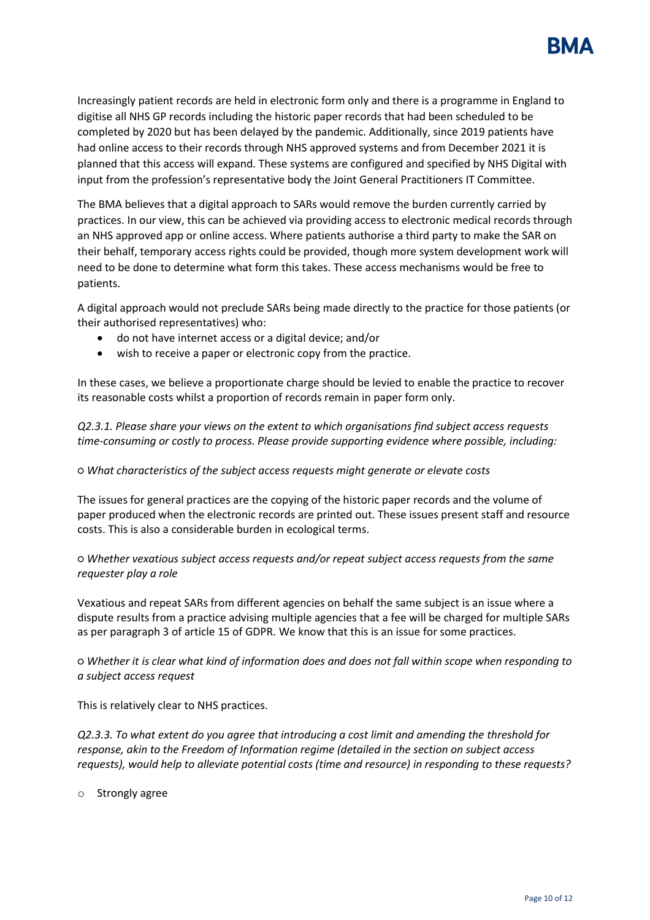

Increasingly patient records are held in electronic form only and there is a programme in England to digitise all NHS GP records including the historic paper records that had been scheduled to be completed by 2020 but has been delayed by the pandemic. Additionally, since 2019 patients have had online access to their records through NHS approved systems and from December 2021 it is planned that this access will expand. These systems are configured and specified by NHS Digital with input from the profession's representative body the Joint General Practitioners IT Committee.

The BMA believes that a digital approach to SARs would remove the burden currently carried by practices. In our view, this can be achieved via providing access to electronic medical records through an NHS approved app or online access. Where patients authorise a third party to make the SAR on their behalf, temporary access rights could be provided, though more system development work will need to be done to determine what form this takes. These access mechanisms would be free to patients.

A digital approach would not preclude SARs being made directly to the practice for those patients (or their authorised representatives) who:

- do not have internet access or a digital device; and/or
- wish to receive a paper or electronic copy from the practice.

In these cases, we believe a proportionate charge should be levied to enable the practice to recover its reasonable costs whilst a proportion of records remain in paper form only.

*Q2.3.1. Please share your views on the extent to which organisations find subject access requests time-consuming or costly to process. Please provide supporting evidence where possible, including:* 

# *○ What characteristics of the subject access requests might generate or elevate costs*

The issues for general practices are the copying of the historic paper records and the volume of paper produced when the electronic records are printed out. These issues present staff and resource costs. This is also a considerable burden in ecological terms.

*○ Whether vexatious subject access requests and/or repeat subject access requests from the same requester play a role* 

Vexatious and repeat SARs from different agencies on behalf the same subject is an issue where a dispute results from a practice advising multiple agencies that a fee will be charged for multiple SARs as per paragraph 3 of article 15 of GDPR. We know that this is an issue for some practices.

*○ Whether it is clear what kind of information does and does not fall within scope when responding to a subject access request* 

This is relatively clear to NHS practices.

*Q2.3.3. To what extent do you agree that introducing a cost limit and amending the threshold for response, akin to the Freedom of Information regime (detailed in the section on subject access requests), would help to alleviate potential costs (time and resource) in responding to these requests?*

o Strongly agree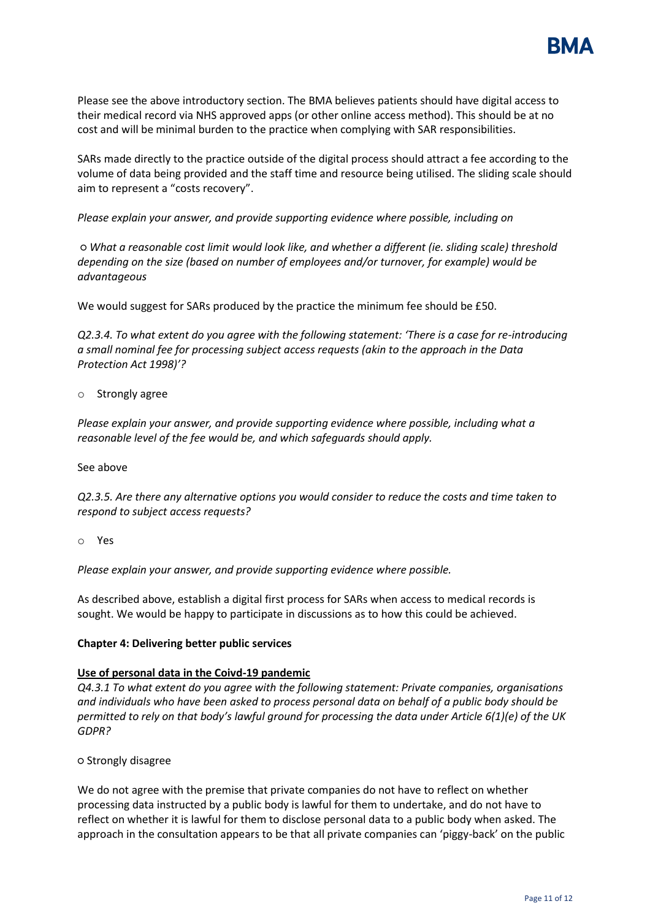

Please see the above introductory section. The BMA believes patients should have digital access to their medical record via NHS approved apps (or other online access method). This should be at no cost and will be minimal burden to the practice when complying with SAR responsibilities.

SARs made directly to the practice outside of the digital process should attract a fee according to the volume of data being provided and the staff time and resource being utilised. The sliding scale should aim to represent a "costs recovery".

*Please explain your answer, and provide supporting evidence where possible, including on*

*○ What a reasonable cost limit would look like, and whether a different (ie. sliding scale) threshold depending on the size (based on number of employees and/or turnover, for example) would be advantageous* 

We would suggest for SARs produced by the practice the minimum fee should be £50.

*Q2.3.4. To what extent do you agree with the following statement: 'There is a case for re-introducing a small nominal fee for processing subject access requests (akin to the approach in the Data Protection Act 1998)'?* 

o Strongly agree

*Please explain your answer, and provide supporting evidence where possible, including what a reasonable level of the fee would be, and which safeguards should apply.* 

See above

*Q2.3.5. Are there any alternative options you would consider to reduce the costs and time taken to respond to subject access requests?*

o Yes

*Please explain your answer, and provide supporting evidence where possible.*

As described above, establish a digital first process for SARs when access to medical records is sought. We would be happy to participate in discussions as to how this could be achieved.

# **Chapter 4: Delivering better public services**

# **Use of personal data in the Coivd-19 pandemic**

*Q4.3.1 To what extent do you agree with the following statement: Private companies, organisations and individuals who have been asked to process personal data on behalf of a public body should be permitted to rely on that body's lawful ground for processing the data under Article 6(1)(e) of the UK GDPR?*

**○** Strongly disagree

We do not agree with the premise that private companies do not have to reflect on whether processing data instructed by a public body is lawful for them to undertake, and do not have to reflect on whether it is lawful for them to disclose personal data to a public body when asked. The approach in the consultation appears to be that all private companies can 'piggy-back' on the public